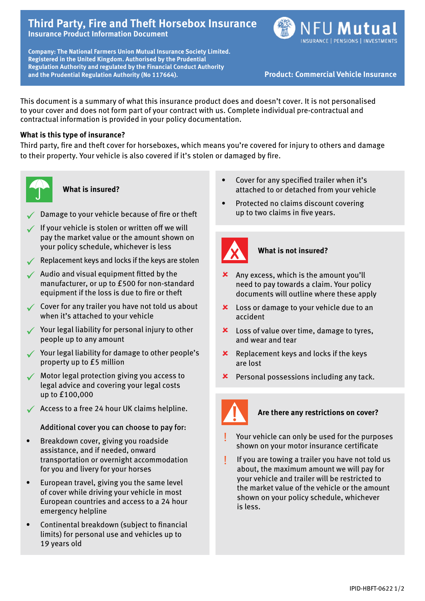# **Third Party, Fire and Theft Horsebox Insurance Insurance Product Information Document**





This document is a summary of what this insurance product does and doesn't cover. It is not personalised to your cover and does not form part of your contract with us. Complete individual pre-contractual and contractual information is provided in your policy documentation.

# **What is this type of insurance?**

Third party, fire and theft cover for horseboxes, which means you're covered for injury to others and damage to their property. Your vehicle is also covered if it's stolen or damaged by fire.



#### **What is insured?**

- Damage to your vehicle because of fire or theft
- $\checkmark$  If your vehicle is stolen or written off we will pay the market value or the amount shown on your policy schedule, whichever is less
- $\sqrt{\phantom{a}}$  Replacement keys and locks if the keys are stolen
- $\sqrt{\phantom{a}}$  Audio and visual equipment fitted by the manufacturer, or up to £500 for non-standard equipment if the loss is due to fire or theft
- $\checkmark$  Cover for any trailer you have not told us about when it's attached to your vehicle
- $\checkmark$  Your legal liability for personal injury to other people up to any amount
- $\checkmark$  Your legal liability for damage to other people's property up to £5 million
- ü Motor legal protection giving you access to legal advice and covering your legal costs up to £100,000
- $\sqrt{\phantom{a}}$  Access to a free 24 hour UK claims helpline.

# Additional cover you can choose to pay for:

- Breakdown cover, giving you roadside assistance, and if needed, onward transportation or overnight accommodation for you and livery for your horses
- European travel, giving you the same level of cover while driving your vehicle in most European countries and access to a 24 hour emergency helpline
- Continental breakdown (subject to financial limits) for personal use and vehicles up to 19 years old
- Cover for any specified trailer when it's attached to or detached from your vehicle
- Protected no claims discount covering up to two claims in five years.



# **What is not insured?**

- $x$  Any excess, which is the amount you'll need to pay towards a claim. Your policy documents will outline where these apply
- **x** Loss or damage to your vehicle due to an accident
- $x$  Loss of value over time, damage to tyres, and wear and tear
- $x$  Replacement keys and locks if the keys are lost
- $x$  Personal possessions including any tack.



# **Are there any restrictions on cover?**

- Your vehicle can only be used for the purposes shown on your motor insurance certificate
- If you are towing a trailer you have not told us about, the maximum amount we will pay for your vehicle and trailer will be restricted to the market value of the vehicle or the amount shown on your policy schedule, whichever is less.